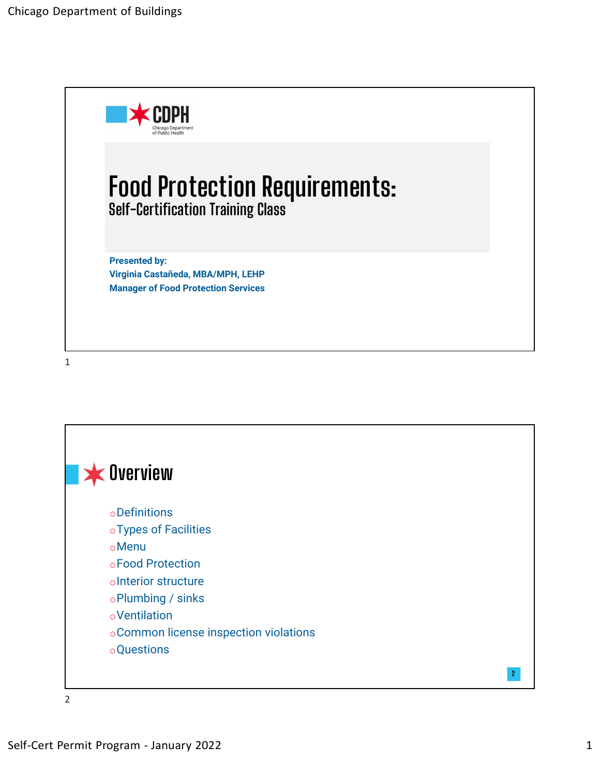

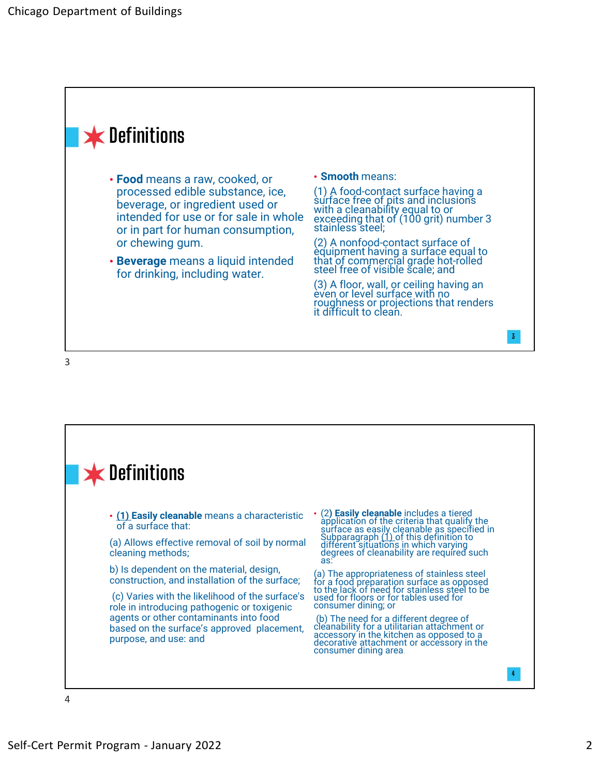

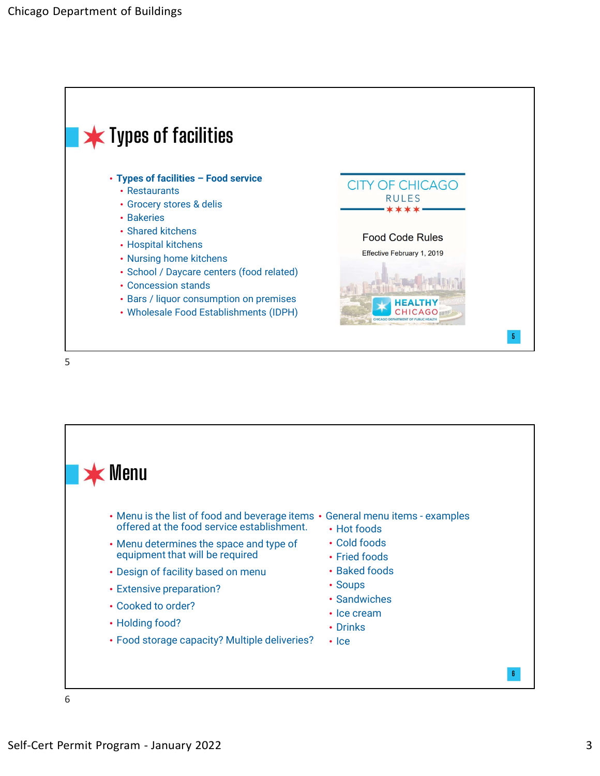



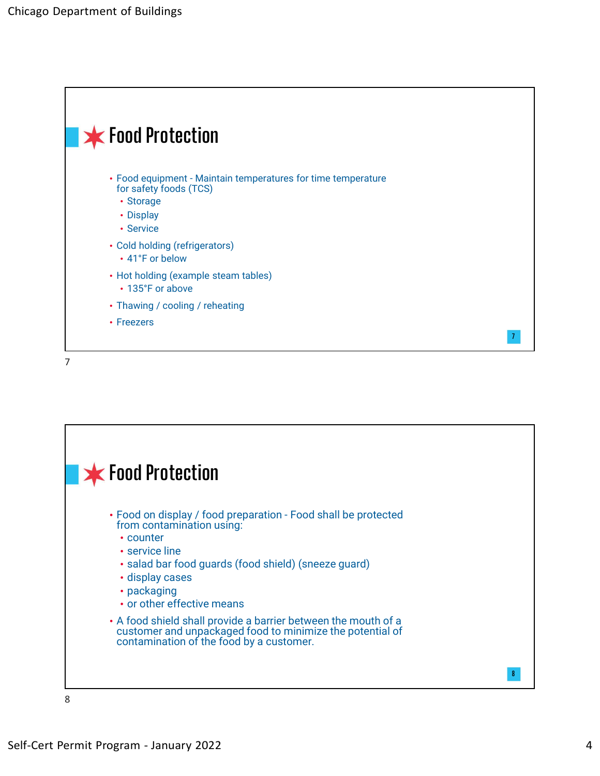

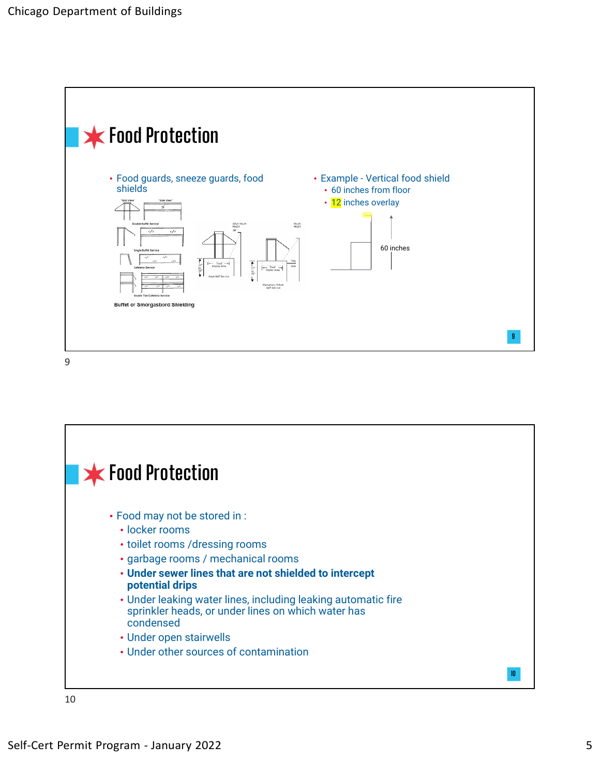

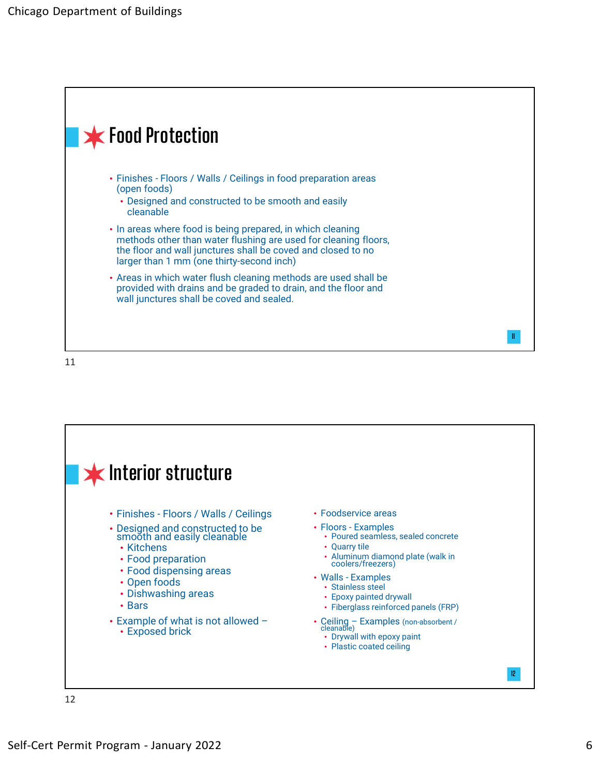



12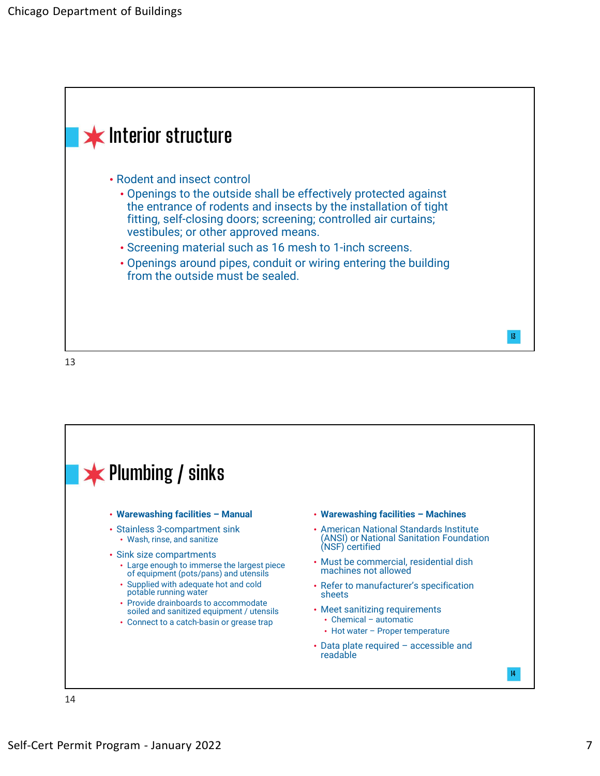

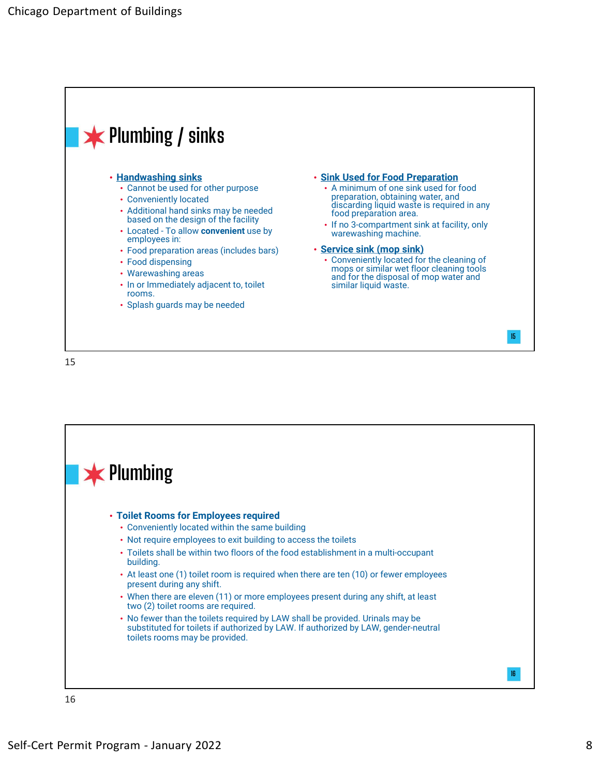

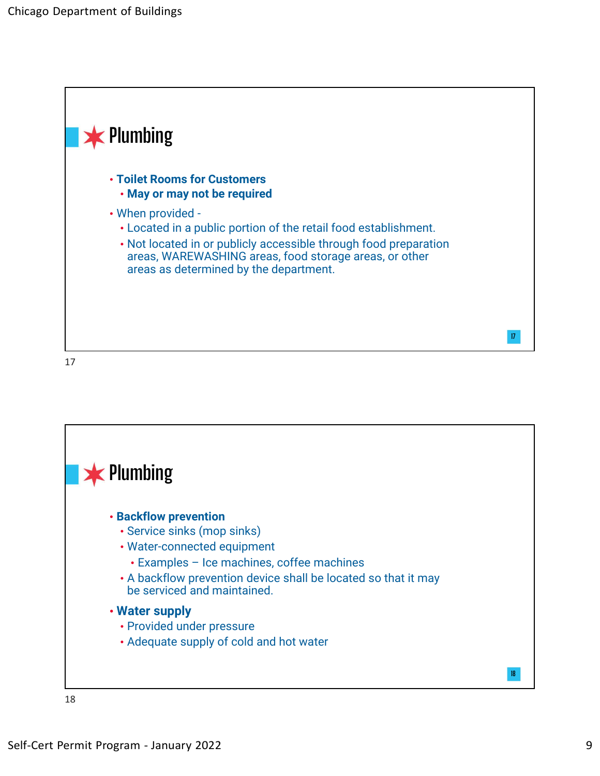



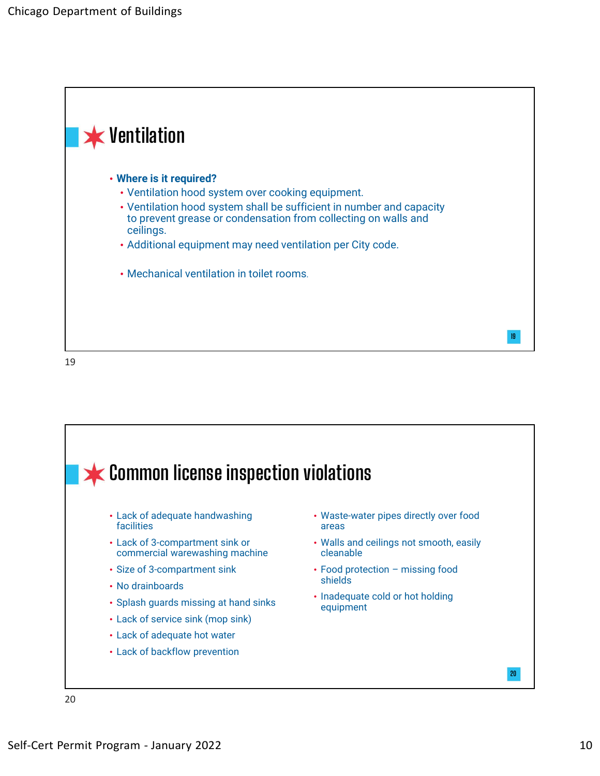